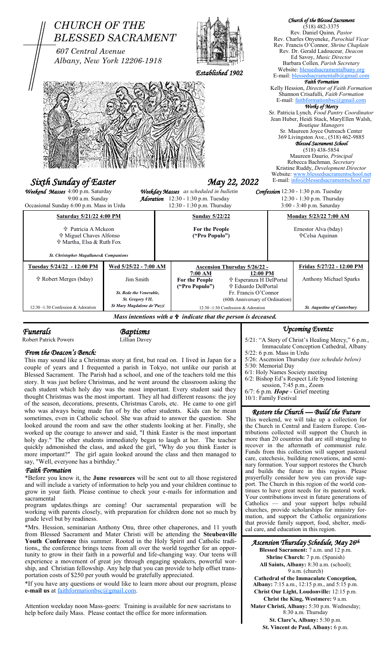

*Funerals Baptisms* 

Robert Patrick Powers Lillian Davey

# *From the Deacon's Bench:*

This may sound like a Christmas story at first, but read on. I lived in Japan for a couple of years and I frequented a parish in Tokyo, not unlike our parish at Blessed Sacrament. The Parish had a school, and one of the teachers told me this story. It was just before Christmas, and he went around the classroom asking the each student which holy day was the most important. Every student said they thought Christmas was the most important. They all had different reasons: the joy of the season, decorations, presents, Christmas Carols, etc. He came to one girl who was always being made fun of by the other students. Kids can be mean sometimes, even in Catholic school. She was afraid to answer the question. She looked around the room and saw the other students looking at her. Finally, she worked up the courage to answer and said, "I think Easter is the most important holy day." The other students immediately began to laugh at her. The teacher quickly admonished the class, and asked the girl, "Why do you think Easter is more important?" The girl again looked around the class and then managed to say, "Well, everyone has a birthday."

## *Faith Formation*

\*Before you know it, the **June resources** will be sent out to all those registered and will include a variety of information to help you and your children continue to grow in your faith. Please continue to check your e-mails for information and sacramental

program updates.things are coming! Our sacramental preparation will be working with parents closely, with preparation for children done not so much by grade level but by readiness.

\*Mrs. Hession, seminarian Anthony Onu, three other chaperones, and 11 youth from Blessed Sacrament and Mater Christi will be attending the **Steubenville Youth Conference** this summer. Rooted in the Holy Spirit and Catholic traditions,, the conference brings teens from all over the world together for an opportunity to grow in their faith in a powerful and life-changing way. Our teens will experience a movement of great joy through engaging speakers, powerful worship, and Christian fellowship. Any help that you can provide to help offset transportation costs of \$250 per youth would be gratefully appreciated.

\*If you have any questions or would like to learn more about our program, please **e-mail us** at faithformationbsc@gmail.com.

Attention weekday noon Mass-goers: Training is available for new sacristans to help before daily Mass. Please contact the office for more information.

# *Upcoming Events:*

5/21: "A Story of Christ's Healing Mercy," 6 p.m., Immaculate Conception Cathedral, Albany 5/22: 6 p.m. Mass in Urdu 5/26: Ascension Thursday *(see schedule below)* 5/30: Memorial Day 6/1: Holy Names Society meeting 6/2: Bishop Ed's Respect Life Synod listening session, 7:45 p.m., Zoom 6/7: 6 p.m. *Hope* - Grief meeting 10/1: Family Festival

*Restore the Church — Build the Future* 

This weekend, we will take up a collection for the Church in Central and Eastern Europe. Contributions collected will support the Church in more than 20 countries that are still struggling to recover in the aftermath of communist rule. Funds from this collection will support pastoral care, catechesis, building renovations, and seminary formation. Your support restores the Church and builds the future in this region. Please prayerfully consider how you can provide support. The Church in this region of the world continues to have great needs for its pastoral work. Your contributions invest in future generations of Catholics — and your support helps rebuild churches, provide scholarships for ministry formation, and support the Catholic organizations that provide family support, food, shelter, medical care, and education in this region.

# *Ascension Thursday Schedule, May 26th*

**Blessed Sacrament:** 7 a.m. and 12 p.m. **Shrine Church:** 7 p.m. (Spanish) **All Saints, Albany:** 8:30 a.m. (school); 9 a.m. (church) **Cathedral of the Immaculate Conception, Albany:** 7:15 a.m., 12:15 p.m., and 5:15 p.m. **Christ Our Light, Loudonville:** 12:15 p.m. **Christ the King, Westmere:** 9 a.m. **Mater Christi, Albany:** 5:30 p.m. Wednesday; 8:30 a.m. Thursday

> **St. Clare's, Albany:** 5:30 p.m. **St. Vincent de Paul, Albany:** 6 p.m.